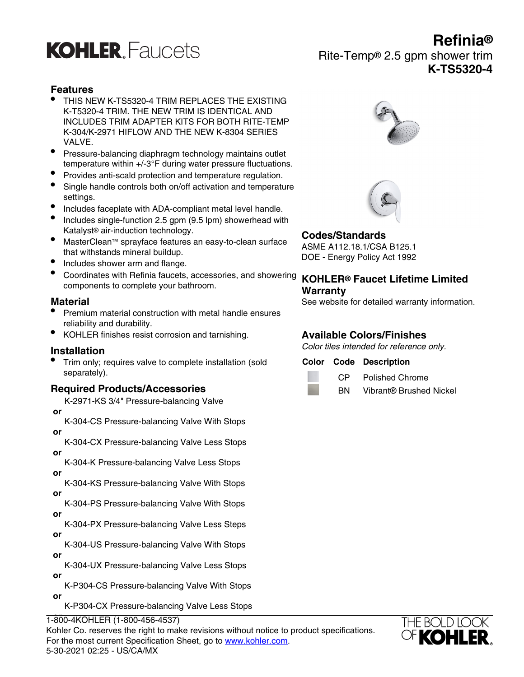## **KOHLER** Faucets

## **Features**

- THIS NEW K-TS5320-4 TRIM REPLACES THE EXISTING K-T5320-4 TRIM. THE NEW TRIM IS IDENTICAL AND INCLUDES TRIM ADAPTER KITS FOR BOTH RITE-TEMP K-304/K-2971 HIFLOW AND THE NEW K-8304 SERIES VALVE.
- Pressure-balancing diaphragm technology maintains outlet temperature within +/-3°F during water pressure fluctuations.
- Provides anti-scald protection and temperature regulation.
- Single handle controls both on/off activation and temperature settings.
- Includes faceplate with ADA-compliant metal level handle.
- Includes single-function 2.5 gpm (9.5 lpm) showerhead with Katalyst® air-induction technology.
- MasterClean™ sprayface features an easy-to-clean surface that withstands mineral buildup.
- Includes shower arm and flange.
- Coordinates with Refinia faucets, accessories, and showering components to complete your bathroom.

#### **Material**

- Premium material construction with metal handle ensures reliability and durability.
- KOHLER finishes resist corrosion and tarnishing.

### **Installation**

• Trim only; requires valve to complete installation (sold separately).

#### **Required Products/Accessories**

K-2971-KS 3/4" Pressure-balancing Valve

 **or**

K-304-CS Pressure-balancing Valve With Stops  **or**

K-304-CX Pressure-balancing Valve Less Stops  **or**

K-304-K Pressure-balancing Valve Less Stops  **or**

K-304-KS Pressure-balancing Valve With Stops  **or**

K-304-PS Pressure-balancing Valve With Stops  **or**

K-304-PX Pressure-balancing Valve Less Steps  **or**

K-304-US Pressure-balancing Valve With Stops  **or**

K-304-UX Pressure-balancing Valve Less Stops  **or**

K-P304-CS Pressure-balancing Valve With Stops  **or**

K-P304-CX Pressure-balancing Valve Less Stops

 **or** 1-800-4KOHLER (1-800-456-4537)

Notice Mathematic Valve Less Co. (1994) **For the most current Specification Sheet, go to [www.kohler.com](http://www.kohler.com).** K-P304-KS Pressure-balancing Valve With Stops 5-30-2021 02:25 - US/CA/MX **or**





## **Codes/Standards**

ASME A112.18.1/CSA B125.1 DOE - Energy Policy Act 1992

## **KOHLER® Faucet Lifetime Limited Warranty**

See website for detailed warranty information.

## **Available Colors/Finishes**

Color tiles intended for reference only.

#### **Color Code Description**



CP Polished Chrome

BN Vibrant® Brushed Nickel



**Refinia®**

**K-TS5320-4**

Rite-Temp® 2.5 gpm shower trim